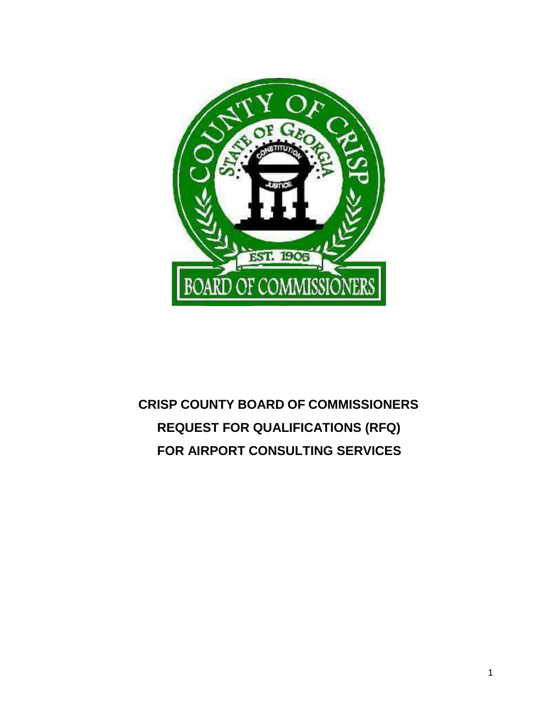

# **CRISP COUNTY BOARD OF COMMISSIONERS REQUEST FOR QUALIFICATIONS (RFQ) FOR AIRPORT CONSULTING SERVICES**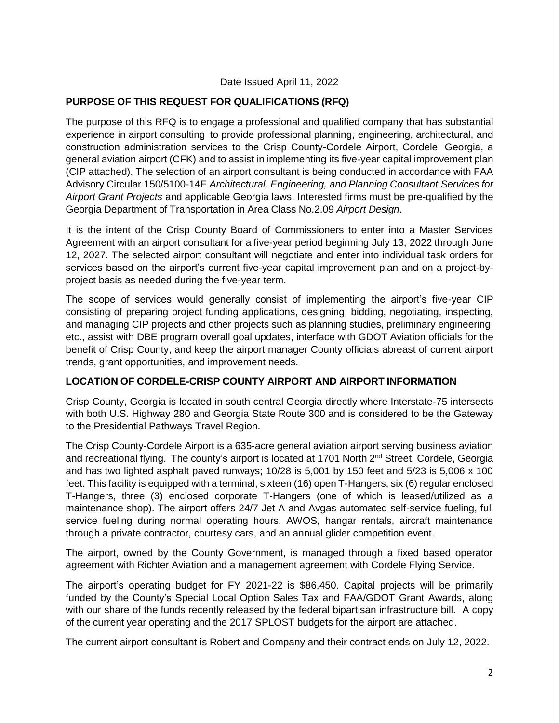#### Date Issued April 11, 2022

#### **PURPOSE OF THIS REQUEST FOR QUALIFICATIONS (RFQ)**

The purpose of this RFQ is to engage a professional and qualified company that has substantial experience in airport consulting to provide professional planning, engineering, architectural, and construction administration services to the Crisp County-Cordele Airport, Cordele, Georgia, a general aviation airport (CFK) and to assist in implementing its five-year capital improvement plan (CIP attached). The selection of an airport consultant is being conducted in accordance with FAA Advisory Circular 150/5100-14E *Architectural, Engineering, and Planning Consultant Services for Airport Grant Projects* and applicable Georgia laws. Interested firms must be pre-qualified by the Georgia Department of Transportation in Area Class No.2.09 *Airport Design*.

It is the intent of the Crisp County Board of Commissioners to enter into a Master Services Agreement with an airport consultant for a five-year period beginning July 13, 2022 through June 12, 2027. The selected airport consultant will negotiate and enter into individual task orders for services based on the airport's current five-year capital improvement plan and on a project-byproject basis as needed during the five-year term.

The scope of services would generally consist of implementing the airport's five-year CIP consisting of preparing project funding applications, designing, bidding, negotiating, inspecting, and managing CIP projects and other projects such as planning studies, preliminary engineering, etc., assist with DBE program overall goal updates, interface with GDOT Aviation officials for the benefit of Crisp County, and keep the airport manager County officials abreast of current airport trends, grant opportunities, and improvement needs.

#### **LOCATION OF CORDELE-CRISP COUNTY AIRPORT AND AIRPORT INFORMATION**

Crisp County, Georgia is located in south central Georgia directly where Interstate-75 intersects with both U.S. Highway 280 and Georgia State Route 300 and is considered to be the Gateway to the Presidential Pathways Travel Region.

The Crisp County-Cordele Airport is a 635-acre general aviation airport serving business aviation and recreational flying. The county's airport is located at 1701 North 2<sup>nd</sup> Street, Cordele, Georgia and has two lighted asphalt paved runways; 10/28 is 5,001 by 150 feet and 5/23 is 5,006 x 100 feet. This facility is equipped with a terminal, sixteen (16) open T-Hangers, six (6) regular enclosed T-Hangers, three (3) enclosed corporate T-Hangers (one of which is leased/utilized as a maintenance shop). The airport offers 24/7 Jet A and Avgas automated self-service fueling, full service fueling during normal operating hours, AWOS, hangar rentals, aircraft maintenance through a private contractor, courtesy cars, and an annual glider competition event.

The airport, owned by the County Government, is managed through a fixed based operator agreement with Richter Aviation and a management agreement with Cordele Flying Service.

The airport's operating budget for FY 2021-22 is \$86,450. Capital projects will be primarily funded by the County's Special Local Option Sales Tax and FAA/GDOT Grant Awards, along with our share of the funds recently released by the federal bipartisan infrastructure bill. A copy of the current year operating and the 2017 SPLOST budgets for the airport are attached.

The current airport consultant is Robert and Company and their contract ends on July 12, 2022.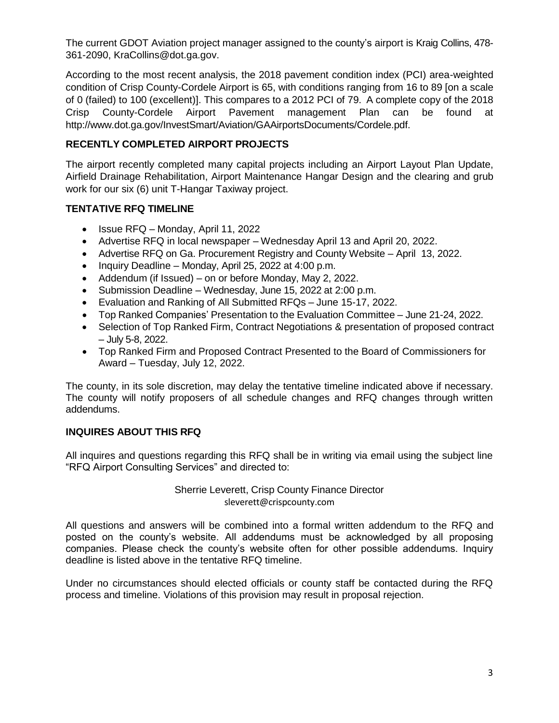The current GDOT Aviation project manager assigned to the county's airport is Kraig Collins, 478- 361-2090, KraCollins@dot.ga.gov.

According to the most recent analysis, the 2018 pavement condition index (PCI) area-weighted condition of Crisp County-Cordele Airport is 65, with conditions ranging from 16 to 89 [on a scale of 0 (failed) to 100 (excellent)]. This compares to a 2012 PCI of 79. A complete copy of the 2018 Crisp County-Cordele Airport Pavement management Plan can be found at [http://www.dot.ga.gov/InvestSmart/Aviation/GAAirportsDocuments/Cordele.pdf.](http://www.dot.ga.gov/InvestSmart/Aviation/GAAirportsDocuments/Cordele.pdf)

#### **RECENTLY COMPLETED AIRPORT PROJECTS**

The airport recently completed many capital projects including an Airport Layout Plan Update, Airfield Drainage Rehabilitation, Airport Maintenance Hangar Design and the clearing and grub work for our six (6) unit T-Hangar Taxiway project.

#### **TENTATIVE RFQ TIMELINE**

- $\bullet$  Issue RFQ Monday, April 11, 2022
- Advertise RFQ in local newspaper Wednesday April 13 and April 20, 2022.
- Advertise RFQ on Ga. Procurement Registry and County Website April 13, 2022.
- $\bullet$  Inquiry Deadline Monday, April 25, 2022 at 4:00 p.m.
- Addendum (if Issued) on or before Monday, May 2, 2022.
- Submission Deadline Wednesday, June 15, 2022 at 2:00 p.m.
- Evaluation and Ranking of All Submitted RFQs June 15-17, 2022.
- Top Ranked Companies' Presentation to the Evaluation Committee June 21-24, 2022.
- Selection of Top Ranked Firm, Contract Negotiations & presentation of proposed contract – July 5-8, 2022.
- Top Ranked Firm and Proposed Contract Presented to the Board of Commissioners for Award – Tuesday, July 12, 2022.

The county, in its sole discretion, may delay the tentative timeline indicated above if necessary. The county will notify proposers of all schedule changes and RFQ changes through written addendums.

#### **INQUIRES ABOUT THIS RFQ**

All inquires and questions regarding this RFQ shall be in writing via email using the subject line "RFQ Airport Consulting Services" and directed to:

#### Sherrie Leverett, Crisp County Finance Director [sleverett@crispcounty.com](mailto:sleverett@crispcounty.com)

All questions and answers will be combined into a formal written addendum to the RFQ and posted on the county's website. All addendums must be acknowledged by all proposing companies. Please check the county's website often for other possible addendums. Inquiry deadline is listed above in the tentative RFQ timeline.

Under no circumstances should elected officials or county staff be contacted during the RFQ process and timeline. Violations of this provision may result in proposal rejection.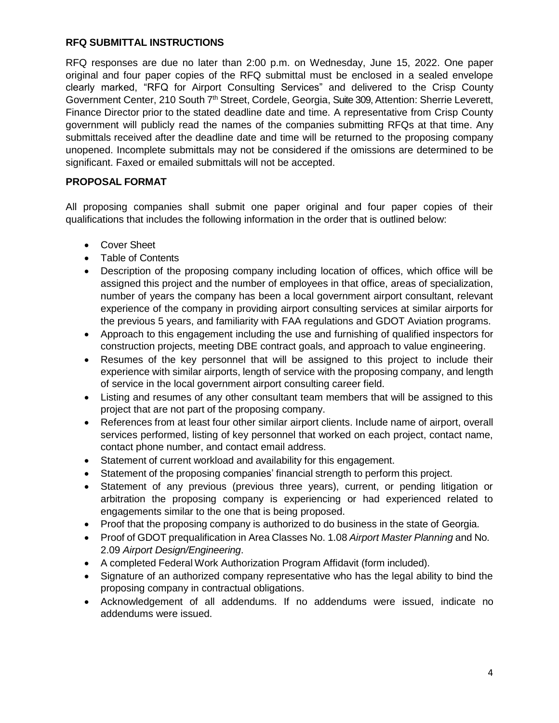#### **RFQ SUBMITTAL INSTRUCTIONS**

RFQ responses are due no later than 2:00 p.m. on Wednesday, June 15, 2022. One paper original and four paper copies of the RFQ submittal must be enclosed in a sealed envelope clearly marked, "RFQ for Airport Consulting Services" and delivered to the Crisp County Government Center, 210 South 7<sup>th</sup> Street, Cordele, Georgia, Suite 309, Attention: Sherrie Leverett, Finance Director prior to the stated deadline date and time. A representative from Crisp County government will publicly read the names of the companies submitting RFQs at that time. Any submittals received after the deadline date and time will be returned to the proposing company unopened. Incomplete submittals may not be considered if the omissions are determined to be significant. Faxed or emailed submittals will not be accepted.

#### **PROPOSAL FORMAT**

All proposing companies shall submit one paper original and four paper copies of their qualifications that includes the following information in the order that is outlined below:

- Cover Sheet
- Table of Contents
- Description of the proposing company including location of offices, which office will be assigned this project and the number of employees in that office, areas of specialization, number of years the company has been a local government airport consultant, relevant experience of the company in providing airport consulting services at similar airports for the previous 5 years, and familiarity with FAA regulations and GDOT Aviation programs.
- Approach to this engagement including the use and furnishing of qualified inspectors for construction projects, meeting DBE contract goals, and approach to value engineering.
- Resumes of the key personnel that will be assigned to this project to include their experience with similar airports, length of service with the proposing company, and length of service in the local government airport consulting career field.
- Listing and resumes of any other consultant team members that will be assigned to this project that are not part of the proposing company.
- References from at least four other similar airport clients. Include name of airport, overall services performed, listing of key personnel that worked on each project, contact name, contact phone number, and contact email address.
- Statement of current workload and availability for this engagement.
- Statement of the proposing companies' financial strength to perform this project.
- Statement of any previous (previous three years), current, or pending litigation or arbitration the proposing company is experiencing or had experienced related to engagements similar to the one that is being proposed.
- Proof that the proposing company is authorized to do business in the state of Georgia.
- Proof of GDOT prequalification in Area Classes No. 1.08 *Airport Master Planning* and No. 2.09 *Airport Design/Engineering*.
- A completed Federal Work Authorization Program Affidavit (form included).
- Signature of an authorized company representative who has the legal ability to bind the proposing company in contractual obligations.
- Acknowledgement of all addendums. If no addendums were issued, indicate no addendums were issued.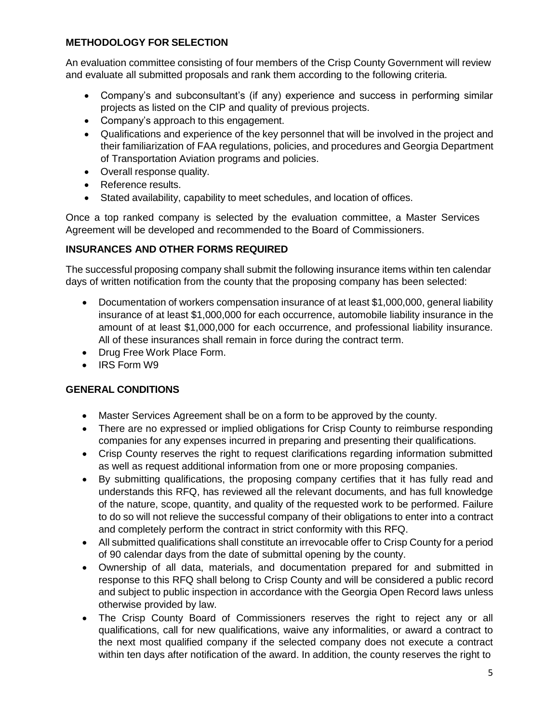#### **METHODOLOGY FOR SELECTION**

An evaluation committee consisting of four members of the Crisp County Government will review and evaluate all submitted proposals and rank them according to the following criteria.

- Company's and subconsultant's (if any) experience and success in performing similar projects as listed on the CIP and quality of previous projects.
- Company's approach to this engagement.
- Qualifications and experience of the key personnel that will be involved in the project and their familiarization of FAA regulations, policies, and procedures and Georgia Department of Transportation Aviation programs and policies.
- Overall response quality.
- Reference results.
- Stated availability, capability to meet schedules, and location of offices.

Once a top ranked company is selected by the evaluation committee, a Master Services Agreement will be developed and recommended to the Board of Commissioners.

### **INSURANCES AND OTHER FORMS REQUIRED**

The successful proposing company shall submit the following insurance items within ten calendar days of written notification from the county that the proposing company has been selected:

- Documentation of workers compensation insurance of at least \$1,000,000, general liability insurance of at least \$1,000,000 for each occurrence, automobile liability insurance in the amount of at least \$1,000,000 for each occurrence, and professional liability insurance. All of these insurances shall remain in force during the contract term.
- Drug Free Work Place Form.
- IRS Form W9

## **GENERAL CONDITIONS**

- Master Services Agreement shall be on a form to be approved by the county.
- There are no expressed or implied obligations for Crisp County to reimburse responding companies for any expenses incurred in preparing and presenting their qualifications.
- Crisp County reserves the right to request clarifications regarding information submitted as well as request additional information from one or more proposing companies.
- By submitting qualifications, the proposing company certifies that it has fully read and understands this RFQ, has reviewed all the relevant documents, and has full knowledge of the nature, scope, quantity, and quality of the requested work to be performed. Failure to do so will not relieve the successful company of their obligations to enter into a contract and completely perform the contract in strict conformity with this RFQ.
- All submitted qualifications shall constitute an irrevocable offer to Crisp County for a period of 90 calendar days from the date of submittal opening by the county.
- Ownership of all data, materials, and documentation prepared for and submitted in response to this RFQ shall belong to Crisp County and will be considered a public record and subject to public inspection in accordance with the Georgia Open Record laws unless otherwise provided by law.
- The Crisp County Board of Commissioners reserves the right to reject any or all qualifications, call for new qualifications, waive any informalities, or award a contract to the next most qualified company if the selected company does not execute a contract within ten days after notification of the award. In addition, the county reserves the right to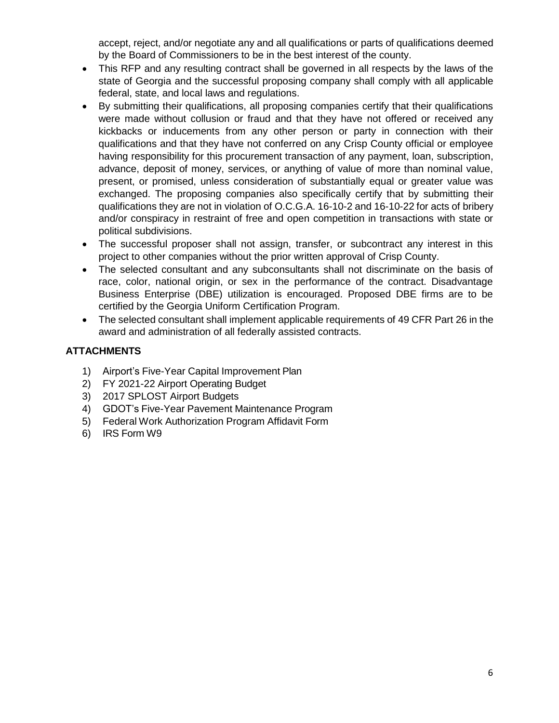accept, reject, and/or negotiate any and all qualifications or parts of qualifications deemed by the Board of Commissioners to be in the best interest of the county.

- This RFP and any resulting contract shall be governed in all respects by the laws of the state of Georgia and the successful proposing company shall comply with all applicable federal, state, and local laws and regulations.
- By submitting their qualifications, all proposing companies certify that their qualifications were made without collusion or fraud and that they have not offered or received any kickbacks or inducements from any other person or party in connection with their qualifications and that they have not conferred on any Crisp County official or employee having responsibility for this procurement transaction of any payment, loan, subscription, advance, deposit of money, services, or anything of value of more than nominal value, present, or promised, unless consideration of substantially equal or greater value was exchanged. The proposing companies also specifically certify that by submitting their qualifications they are not in violation of O.C.G.A. 16-10-2 and 16-10-22 for acts of bribery and/or conspiracy in restraint of free and open competition in transactions with state or political subdivisions.
- The successful proposer shall not assign, transfer, or subcontract any interest in this project to other companies without the prior written approval of Crisp County.
- The selected consultant and any subconsultants shall not discriminate on the basis of race, color, national origin, or sex in the performance of the contract. Disadvantage Business Enterprise (DBE) utilization is encouraged. Proposed DBE firms are to be certified by the Georgia Uniform Certification Program.
- The selected consultant shall implement applicable requirements of 49 CFR Part 26 in the award and administration of all federally assisted contracts.

### **ATTACHMENTS**

- 1) Airport's Five-Year Capital Improvement Plan
- 2) FY 2021-22 Airport Operating Budget
- 3) 2017 SPLOST Airport Budgets
- 4) GDOT's Five-Year Pavement Maintenance Program
- 5) Federal Work Authorization Program Affidavit Form
- 6) IRS Form W9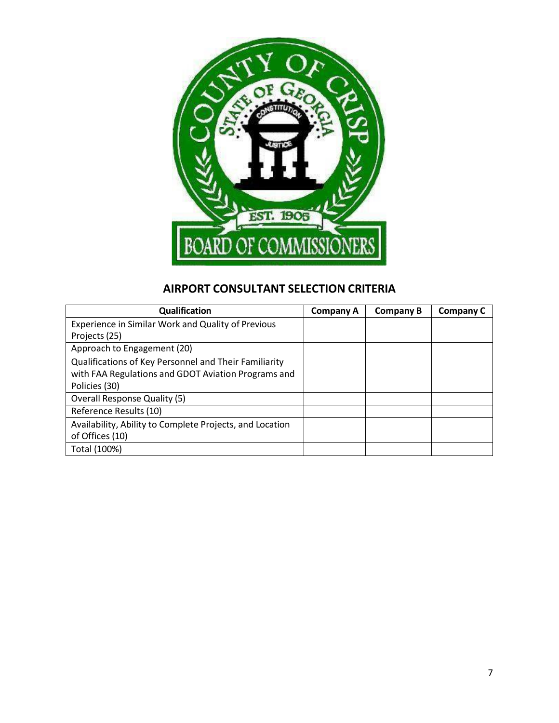

## **AIRPORT CONSULTANT SELECTION CRITERIA**

| Qualification                                            | Company A | <b>Company B</b> | Company C |
|----------------------------------------------------------|-----------|------------------|-----------|
| Experience in Similar Work and Quality of Previous       |           |                  |           |
| Projects (25)                                            |           |                  |           |
| Approach to Engagement (20)                              |           |                  |           |
| Qualifications of Key Personnel and Their Familiarity    |           |                  |           |
| with FAA Regulations and GDOT Aviation Programs and      |           |                  |           |
| Policies (30)                                            |           |                  |           |
| <b>Overall Response Quality (5)</b>                      |           |                  |           |
| Reference Results (10)                                   |           |                  |           |
| Availability, Ability to Complete Projects, and Location |           |                  |           |
| of Offices (10)                                          |           |                  |           |
| Total (100%)                                             |           |                  |           |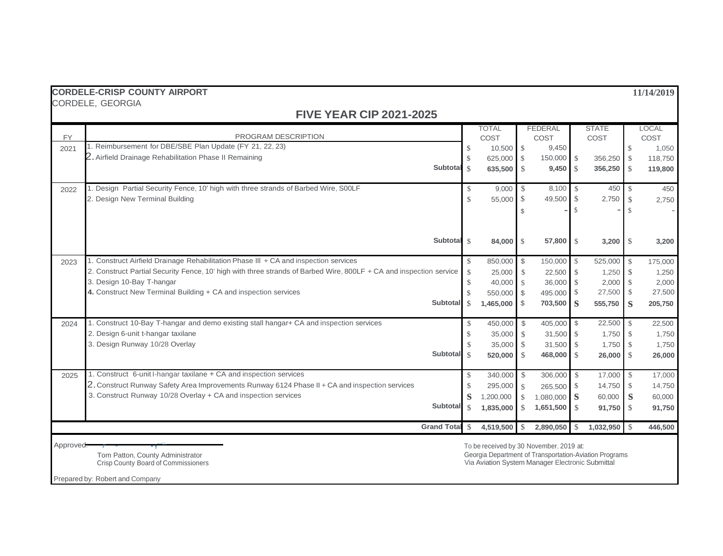|           | <b>CORDELE-CRISP COUNTY AIRPORT</b>                                                                                |               |                                                                                                            |               |                          |               |                       |               | 11/14/2019    |
|-----------|--------------------------------------------------------------------------------------------------------------------|---------------|------------------------------------------------------------------------------------------------------------|---------------|--------------------------|---------------|-----------------------|---------------|---------------|
|           | CORDELE, GEORGIA                                                                                                   |               |                                                                                                            |               |                          |               |                       |               |               |
|           | <b>FIVE YEAR CIP 2021-2025</b>                                                                                     |               |                                                                                                            |               |                          |               |                       |               |               |
| <b>FY</b> | PROGRAM DESCRIPTION                                                                                                |               | <b>TOTAL</b>                                                                                               |               | <b>FEDERAL</b>           |               | <b>STATE</b>          |               | <b>LOCAL</b>  |
| 2021      | 1. Reimbursement for DBE/SBE Plan Update (FY 21, 22, 23)                                                           | $\mathcal{S}$ | COST<br>$10,500$ \$                                                                                        |               | COST<br>9,450            |               | COST                  | $\mathcal{S}$ | COST<br>1,050 |
|           | 2. Airfield Drainage Rehabilitation Phase II Remaining                                                             |               | 625,000 \$                                                                                                 |               | 150,000 \$               |               | 356,250               | $\mathcal{S}$ | 118,750       |
|           | Subtotal                                                                                                           | $\mathcal{S}$ | 635,500 \$                                                                                                 |               | $9,450$ \$               |               | 356,250               | <b>S</b>      | 119,800       |
|           |                                                                                                                    |               |                                                                                                            |               |                          |               |                       |               |               |
| 2022      | 1. Design Partial Security Fence, 10' high with three strands of Barbed Wire, SOOLF                                | $\mathbb{S}$  | 9,000                                                                                                      | - \$          | 8,100 \$                 |               | 450                   | $\mathcal{S}$ | 450           |
|           | 2. Design New Terminal Building                                                                                    | $\mathcal{S}$ | 55,000 \$                                                                                                  |               | 49,500 \$                |               | 2,750                 | $\mathbb{S}$  | 2,750         |
|           |                                                                                                                    |               |                                                                                                            | $\mathbb{S}$  |                          |               |                       |               |               |
|           |                                                                                                                    |               |                                                                                                            |               |                          |               |                       |               |               |
|           | Subtotal \$                                                                                                        |               |                                                                                                            |               |                          |               |                       |               |               |
|           |                                                                                                                    |               | 84,000 \$                                                                                                  |               | 57,800 \$                |               |                       |               | 3,200         |
| 2023      | 1. Construct Airfield Drainage Rehabilitation Phase III + CA and inspection services                               | $\mathcal{S}$ | 850,000 \$                                                                                                 |               | 150,000                  | $\mathcal{S}$ | 525,000               | $\mathcal{S}$ | 175,000       |
|           | 2. Construct Partial Security Fence, 10' high with three strands of Barbed Wire, 800LF + CA and inspection service | $\mathcal{S}$ | 25,000                                                                                                     | $\mathcal{S}$ | $22,500$ \$              |               | 1,250                 | $\mathbb{S}$  | 1,250         |
|           | 3. Design 10-Bay T-hangar                                                                                          | $\mathcal{S}$ | 40,000 \$                                                                                                  |               | 36,000 \$                |               | 2,000                 | $\mathcal{S}$ | 2,000         |
|           | 4. Construct New Terminal Building + CA and inspection services                                                    | $\mathcal{S}$ | 550,000 \$                                                                                                 |               | 495.000 \$               |               | 27,500                | $\mathcal{S}$ | 27,500        |
|           | Subtotal                                                                                                           | <sup>\$</sup> | 1,465,000                                                                                                  | - \$          | 703,500 S                |               | 555,750               | S             | 205,750       |
| 2024      | 1. Construct 10-Bay T-hangar and demo existing stall hangar+ CA and inspection services                            | $\mathcal{S}$ | 450,000                                                                                                    | $\mathbb{S}$  | 405.000                  | $\mathbb{S}$  | 22,500                | \$            | 22,500        |
|           | 2. Design 6-unit t-hangar taxilane                                                                                 | <sup>\$</sup> | 35,000                                                                                                     | -S            | 31,500 \$                |               | 1.750                 | S.            | 1,750         |
|           | 3. Design Runway 10/28 Overlay                                                                                     | $\mathcal{S}$ | 35,000                                                                                                     | $\mathcal{S}$ | 31,500 \$                |               | 1,750                 | $\mathcal{S}$ | 1,750         |
|           | Subtotal                                                                                                           | $\mathcal{S}$ | 520,000                                                                                                    | $\mathcal{S}$ | 468,000 \$               |               | 26,000                | - \$          | 26,000        |
|           |                                                                                                                    |               |                                                                                                            |               |                          |               |                       |               |               |
| 2025      | 1. Construct 6-unit I-hangar taxilane + CA and inspection services                                                 | \$            | 340,000 \$                                                                                                 |               | 306,000 \$               |               | 17,000                | <sup>S</sup>  | 17,000        |
|           | 2. Construct Runway Safety Area Improvements Runway 6124 Phase II + CA and inspection services                     | $\mathcal{S}$ | 295,000                                                                                                    | -\$           | 265,500 \$               |               | 14,750                | S.            | 14,750        |
|           | 3. Construct Runway 10/28 Overlay + CA and inspection services                                                     | S             | 1,200,000                                                                                                  | $\mathcal{S}$ | 1,080,000 S              |               | 60,000                | S             | 60,000        |
|           | <b>Subtotal</b>                                                                                                    | $\mathcal{S}$ | 1,835,000                                                                                                  | <sup>\$</sup> | $1,651,500$ \ $\sqrt{3}$ |               | $91,750$ \ $\sqrt{3}$ |               | 91,750        |
|           | <b>Grand Total</b>                                                                                                 | -S            | 4,519,500                                                                                                  | $\mathcal{S}$ | 2,890,050                | -\$           | $1,032,950$ \$        |               | 446,500       |
|           |                                                                                                                    |               |                                                                                                            |               |                          |               |                       |               |               |
| Approved: |                                                                                                                    |               | To be received by 30 November, 2019 at:                                                                    |               |                          |               |                       |               |               |
|           | Tom Patton, County Administrator<br>Crisp County Board of Commissioners                                            |               | Georgia Department of Transportation-Aviation Programs<br>Via Aviation System Manager Electronic Submittal |               |                          |               |                       |               |               |

Prepared by: Robert and Company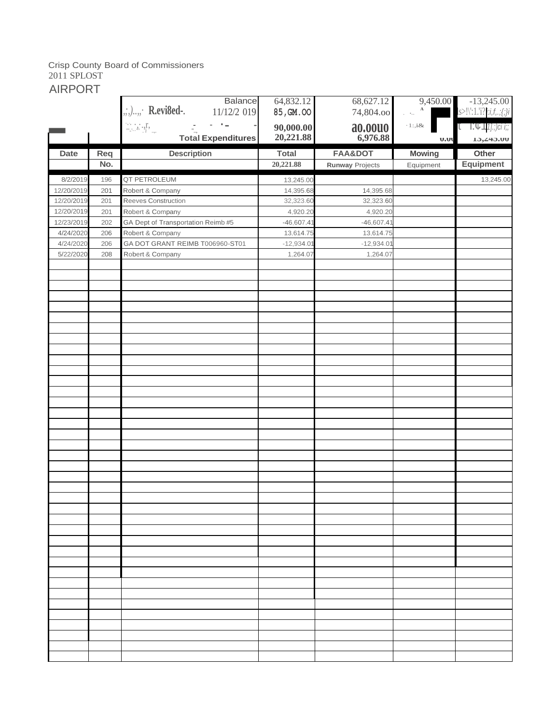#### Crisp County Board of Commissioners 2011 SPLOST

AIRPORT

|             |     | Balance                                                                                                                                                                                                                                                                                                                                                                                                                                                                                                                       | 64,832.12                  | 68,627.12              | 9,450.00                   | $-13,245.00$                                          |
|-------------|-----|-------------------------------------------------------------------------------------------------------------------------------------------------------------------------------------------------------------------------------------------------------------------------------------------------------------------------------------------------------------------------------------------------------------------------------------------------------------------------------------------------------------------------------|----------------------------|------------------------|----------------------------|-------------------------------------------------------|
|             |     | $, ; ,\ldots,$ R.evi8ed-.<br>11/12/2 019                                                                                                                                                                                                                                                                                                                                                                                                                                                                                      | 85, GM. OO                 | 74,804.00              | ilija.<br>Viited<br>$\,$ A | $ s>!\rangle$ :1.'1? <i>i:i,f,.;{;}i</i>              |
|             |     | $\mathbb{Z}$ : $\mathbb{Z}$ : $\mathbb{Z}$<br>$\frac{1}{\alpha_{\rm{eq}}}\qquad \qquad \frac{1}{\alpha_{\rm{eq}}}\qquad \qquad \frac{1}{\alpha_{\rm{eq}}}\qquad \qquad \frac{1}{\alpha_{\rm{eq}}}\qquad \qquad \frac{1}{\alpha_{\rm{eq}}}\qquad \qquad \frac{1}{\alpha_{\rm{eq}}}\qquad \qquad \frac{1}{\alpha_{\rm{eq}}}\qquad \qquad \frac{1}{\alpha_{\rm{eq}}}\qquad \qquad \frac{1}{\alpha_{\rm{eq}}}\qquad \qquad \frac{1}{\alpha_{\rm{eq}}}\qquad \qquad \frac{1}{\alpha_{\rm{eq}}}\qquad \qquad \frac{1}{\alpha_{\rm{$ | $90,000.00$<br>$20,221.88$ | <b>ao.oouo</b>         | $\cdot 1$ :,i&             | <b>T</b> $\Gamma$ $\mathcal{C}$ $\Gamma$ 11.; )ci i;; |
|             |     | <b>Total Expenditures</b>                                                                                                                                                                                                                                                                                                                                                                                                                                                                                                     |                            | 6,976.88               | U.U                        | 13,445.00                                             |
| <b>Date</b> | Req | <b>Description</b>                                                                                                                                                                                                                                                                                                                                                                                                                                                                                                            | <b>Total</b>               | <b>FAA&amp;DOT</b>     | <b>Mowing</b>              | Other                                                 |
|             | No. |                                                                                                                                                                                                                                                                                                                                                                                                                                                                                                                               | 20,221.88                  | <b>Runway Projects</b> | Equipment                  | <b>Equipment</b>                                      |
| 8/2/2019    | 196 | QT PETROLEUM                                                                                                                                                                                                                                                                                                                                                                                                                                                                                                                  | 13,245.00                  |                        |                            | 13,245.00                                             |
| 12/20/2019  | 201 | Robert & Company                                                                                                                                                                                                                                                                                                                                                                                                                                                                                                              | 14,395.68                  | 14,395.68              |                            |                                                       |
| 12/20/2019  | 201 | Reeves Construction                                                                                                                                                                                                                                                                                                                                                                                                                                                                                                           | 32,323.60                  | 32,323.60              |                            |                                                       |
| 12/20/2019  | 201 | Robert & Company                                                                                                                                                                                                                                                                                                                                                                                                                                                                                                              | 4,920.20                   | 4,920.20               |                            |                                                       |
| 12/23/2019  | 202 | GA Dept of Transportation Reimb #5                                                                                                                                                                                                                                                                                                                                                                                                                                                                                            | $-46,607.41$               | $-46,607.41$           |                            |                                                       |
| 4/24/2020   | 206 | Robert & Company                                                                                                                                                                                                                                                                                                                                                                                                                                                                                                              | 13,614.75                  | 13,614.75              |                            |                                                       |
| 4/24/2020   | 206 | GA DOT GRANT REIMB T006960-ST01                                                                                                                                                                                                                                                                                                                                                                                                                                                                                               | $-12,934.01$               | $-12,934.01$           |                            |                                                       |
| 5/22/2020   | 208 | Robert & Company                                                                                                                                                                                                                                                                                                                                                                                                                                                                                                              | 1,264.07                   | 1,264.07               |                            |                                                       |
|             |     |                                                                                                                                                                                                                                                                                                                                                                                                                                                                                                                               |                            |                        |                            |                                                       |
|             |     |                                                                                                                                                                                                                                                                                                                                                                                                                                                                                                                               |                            |                        |                            |                                                       |
|             |     |                                                                                                                                                                                                                                                                                                                                                                                                                                                                                                                               |                            |                        |                            |                                                       |
|             |     |                                                                                                                                                                                                                                                                                                                                                                                                                                                                                                                               |                            |                        |                            |                                                       |
|             |     |                                                                                                                                                                                                                                                                                                                                                                                                                                                                                                                               |                            |                        |                            |                                                       |
|             |     |                                                                                                                                                                                                                                                                                                                                                                                                                                                                                                                               |                            |                        |                            |                                                       |
|             |     |                                                                                                                                                                                                                                                                                                                                                                                                                                                                                                                               |                            |                        |                            |                                                       |
|             |     |                                                                                                                                                                                                                                                                                                                                                                                                                                                                                                                               |                            |                        |                            |                                                       |
|             |     |                                                                                                                                                                                                                                                                                                                                                                                                                                                                                                                               |                            |                        |                            |                                                       |
|             |     |                                                                                                                                                                                                                                                                                                                                                                                                                                                                                                                               |                            |                        |                            |                                                       |
|             |     |                                                                                                                                                                                                                                                                                                                                                                                                                                                                                                                               |                            |                        |                            |                                                       |
|             |     |                                                                                                                                                                                                                                                                                                                                                                                                                                                                                                                               |                            |                        |                            |                                                       |
|             |     |                                                                                                                                                                                                                                                                                                                                                                                                                                                                                                                               |                            |                        |                            |                                                       |
|             |     |                                                                                                                                                                                                                                                                                                                                                                                                                                                                                                                               |                            |                        |                            |                                                       |
|             |     |                                                                                                                                                                                                                                                                                                                                                                                                                                                                                                                               |                            |                        |                            |                                                       |
|             |     |                                                                                                                                                                                                                                                                                                                                                                                                                                                                                                                               |                            |                        |                            |                                                       |
|             |     |                                                                                                                                                                                                                                                                                                                                                                                                                                                                                                                               |                            |                        |                            |                                                       |
|             |     |                                                                                                                                                                                                                                                                                                                                                                                                                                                                                                                               |                            |                        |                            |                                                       |
|             |     |                                                                                                                                                                                                                                                                                                                                                                                                                                                                                                                               |                            |                        |                            |                                                       |
|             |     |                                                                                                                                                                                                                                                                                                                                                                                                                                                                                                                               |                            |                        |                            |                                                       |
|             |     |                                                                                                                                                                                                                                                                                                                                                                                                                                                                                                                               |                            |                        |                            |                                                       |
|             |     |                                                                                                                                                                                                                                                                                                                                                                                                                                                                                                                               |                            |                        |                            |                                                       |
|             |     |                                                                                                                                                                                                                                                                                                                                                                                                                                                                                                                               |                            |                        |                            |                                                       |
|             |     |                                                                                                                                                                                                                                                                                                                                                                                                                                                                                                                               |                            |                        |                            |                                                       |
|             |     |                                                                                                                                                                                                                                                                                                                                                                                                                                                                                                                               |                            |                        |                            |                                                       |
|             |     |                                                                                                                                                                                                                                                                                                                                                                                                                                                                                                                               |                            |                        |                            |                                                       |
|             |     |                                                                                                                                                                                                                                                                                                                                                                                                                                                                                                                               |                            |                        |                            |                                                       |
|             |     |                                                                                                                                                                                                                                                                                                                                                                                                                                                                                                                               |                            |                        |                            |                                                       |
|             |     |                                                                                                                                                                                                                                                                                                                                                                                                                                                                                                                               |                            |                        |                            |                                                       |
|             |     |                                                                                                                                                                                                                                                                                                                                                                                                                                                                                                                               |                            |                        |                            |                                                       |
|             |     |                                                                                                                                                                                                                                                                                                                                                                                                                                                                                                                               |                            |                        |                            |                                                       |
|             |     |                                                                                                                                                                                                                                                                                                                                                                                                                                                                                                                               |                            |                        |                            |                                                       |
|             |     |                                                                                                                                                                                                                                                                                                                                                                                                                                                                                                                               |                            |                        |                            |                                                       |
|             |     |                                                                                                                                                                                                                                                                                                                                                                                                                                                                                                                               |                            |                        |                            |                                                       |
|             |     |                                                                                                                                                                                                                                                                                                                                                                                                                                                                                                                               |                            |                        |                            |                                                       |
|             |     |                                                                                                                                                                                                                                                                                                                                                                                                                                                                                                                               |                            |                        |                            |                                                       |
|             |     |                                                                                                                                                                                                                                                                                                                                                                                                                                                                                                                               |                            |                        |                            |                                                       |
|             |     |                                                                                                                                                                                                                                                                                                                                                                                                                                                                                                                               |                            |                        |                            |                                                       |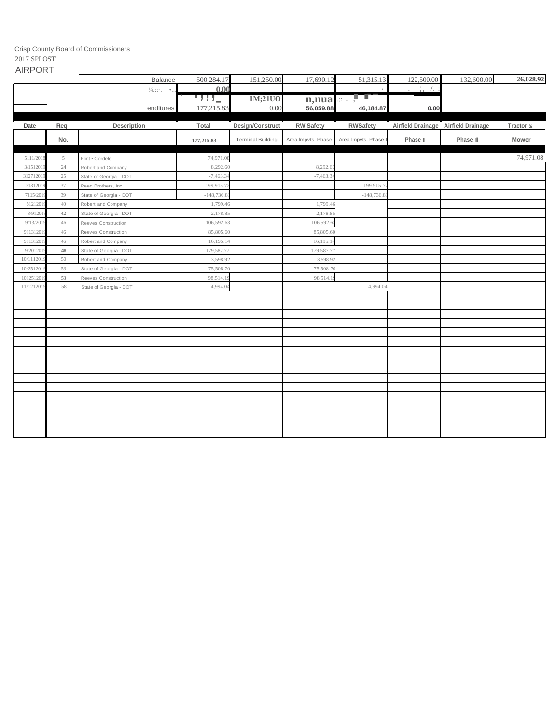Crisp County Board of Commissioners

#### 2017 SPLOST AIRPORT

| <b>AIRPORT</b> |                   |            |            |                    |           |                      |            |           |
|----------------|-------------------|------------|------------|--------------------|-----------|----------------------|------------|-----------|
|                | <b>Balance</b>    | 500.284.17 | 151.250.00 | 17,690.12          | 51,315.13 | 122,500.00           | 132,600.00 | 26,028.92 |
|                | $\frac{1}{4}$ .:: | $0.00\,$   |            |                    |           | $   +$ $+$ $ +$ $ -$ |            |           |
|                |                   | $77 -$     | 1M;21UO    | $n$ , nua $\cdots$ | $-$       |                      |            |           |
|                | enditures         | 177,215.83 | 0.00       | 56,059.88          | 46,184.87 | 0.00                 |            |           |

| Date      | Reg    | Description            | Total        | Design/Construct         | <b>RW Safety</b>     | <b>RWSafety</b>    |          | Airfield Drainage Airfield Drainage | Tractor & |
|-----------|--------|------------------------|--------------|--------------------------|----------------------|--------------------|----------|-------------------------------------|-----------|
|           | No.    |                        | 177,215.83   | <b>Terminal Building</b> | Area Impvts. Phase I | Area Impvts. Phase | Phase II | Phase III                           | Mower     |
| 5111/2018 | 5      | Flint . Cordele        | 74,971.08    |                          |                      |                    |          |                                     | 74,971.08 |
| 3/151201  | 24     | Robert and Company     | 8,292.6      |                          | 8,292.6              |                    |          |                                     |           |
| 31271201  | 25     | State of Georgia - DOT | $-7,463.3$   |                          | $-7,463.3$           |                    |          |                                     |           |
| 7131201   | 37     | Peed Brothers, Inc.    | 199,915.7    |                          |                      | 199,915 7          |          |                                     |           |
| 7115/201  | 39     | State of Georgia - DOT | $-148,736.8$ |                          |                      | $-148,736.8$       |          |                                     |           |
| 8121201   | $40\,$ | Robert and Company     | 1,799.4      |                          | 1,799.4              |                    |          |                                     |           |
| 8/91201   | 42     | State of Georgia - DOT | $-2,178.8$   |                          | $-2,178.8$           |                    |          |                                     |           |
| 9/13/201  | 46     | Reeves Construction    | 106,592.63   |                          | 106,592.6            |                    |          |                                     |           |
| 91131201  | 46     | Reeves Construction    | 85,805.6     |                          | 85,805.6             |                    |          |                                     |           |
| 91131201  | 46     | Robert and Company     | 16,195.1     |                          | 16,195.1             |                    |          |                                     |           |
| 9/201201  | 48     | State of Georgia - DOT | $-179,587.7$ |                          | $-179,587.7$         |                    |          |                                     |           |
| 10/111201 | 50     | Robert and Company     | 3,598.92     |                          | 3,598.9              |                    |          |                                     |           |
| 10/251201 | 53     | State of Georgia - DOT | $-75,508.7$  |                          | $-75,508$ 7          |                    |          |                                     |           |
| 101251201 | 53     | Reeves Construction    | 98,514.1     |                          | 98,514.1             |                    |          |                                     |           |
| 11/121201 | 58     | State of Georgia - DOT | $-4,994.0$   |                          |                      | $-4,994.04$        |          |                                     |           |
|           |        |                        |              |                          |                      |                    |          |                                     |           |
|           |        |                        |              |                          |                      |                    |          |                                     |           |
|           |        |                        |              |                          |                      |                    |          |                                     |           |
|           |        |                        |              |                          |                      |                    |          |                                     |           |
|           |        |                        |              |                          |                      |                    |          |                                     |           |
|           |        |                        |              |                          |                      |                    |          |                                     |           |
|           |        |                        |              |                          |                      |                    |          |                                     |           |
|           |        |                        |              |                          |                      |                    |          |                                     |           |
|           |        |                        |              |                          |                      |                    |          |                                     |           |
|           |        |                        |              |                          |                      |                    |          |                                     |           |
|           |        |                        |              |                          |                      |                    |          |                                     |           |
|           |        |                        |              |                          |                      |                    |          |                                     |           |
|           |        |                        |              |                          |                      |                    |          |                                     |           |
|           |        |                        |              |                          |                      |                    |          |                                     |           |
|           |        |                        |              |                          |                      |                    |          |                                     |           |
|           |        |                        |              |                          |                      |                    |          |                                     |           |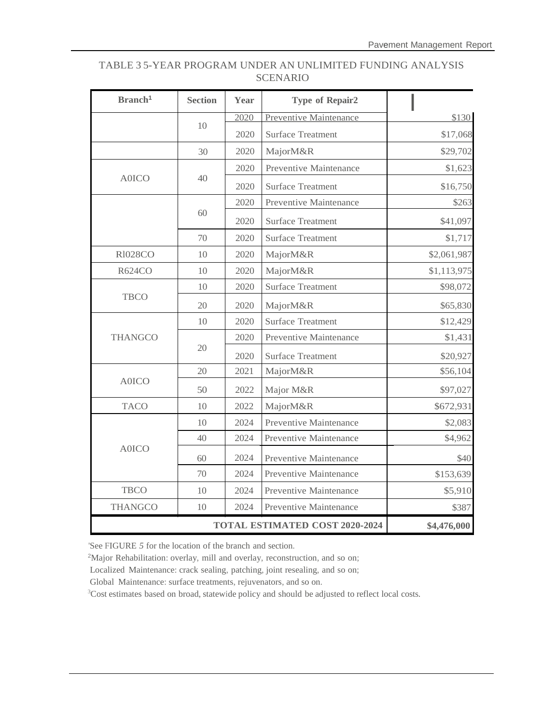#### TABLE 3 5-YEAR PROGRAM UNDER AN UNLIMITED FUNDING ANALYSIS SCENARIO

| Branch <sup>1</sup> | <b>Section</b> | Year | <b>Type of Repair2</b>        |             |
|---------------------|----------------|------|-------------------------------|-------------|
|                     |                | 2020 | <b>Preventive Maintenance</b> | \$130       |
|                     | 10             | 2020 | <b>Surface Treatment</b>      | \$17,068    |
|                     | 30             | 2020 | MajorM&R                      | \$29,702    |
|                     |                | 2020 | Preventive Maintenance        | \$1,623     |
| <b>A0ICO</b>        | 40             | 2020 | <b>Surface Treatment</b>      | \$16,750    |
|                     |                | 2020 | Preventive Maintenance        | \$263       |
|                     | 60             | 2020 | <b>Surface Treatment</b>      | \$41,097    |
|                     | 70             | 2020 | <b>Surface Treatment</b>      | \$1,717     |
| <b>R1028CO</b>      | 10             | 2020 | MajorM&R                      | \$2,061,987 |
| <b>R624CO</b>       | 10             | 2020 | MajorM&R                      | \$1,113,975 |
|                     | 10             | 2020 | <b>Surface Treatment</b>      | \$98,072    |
| <b>TBCO</b>         | 20             | 2020 | MajorM&R                      | \$65,830    |
|                     | 10             | 2020 | <b>Surface Treatment</b>      | \$12,429    |
| <b>THANGCO</b>      | 20             | 2020 | Preventive Maintenance        | \$1,431     |
|                     |                | 2020 | <b>Surface Treatment</b>      | \$20,927    |
|                     | 20             | 2021 | MajorM&R                      | \$56,104    |
| <b>A0ICO</b>        | 50             | 2022 | Major M&R                     | \$97,027    |
| <b>TACO</b>         | 10             | 2022 | MajorM&R                      | \$672,931   |
|                     | 10             | 2024 | Preventive Maintenance        | \$2,083     |
|                     | 40             | 2024 | Preventive Maintenance        | \$4,962     |
| <b>A0ICO</b>        | 60             | 2024 | Preventive Maintenance        | \$40        |
|                     | 70             | 2024 | Preventive Maintenance        | \$153,639   |
| <b>TBCO</b>         | 10             | 2024 | Preventive Maintenance        | \$5,910     |
| <b>THANGCO</b>      | 10             | 2024 | Preventive Maintenance        | \$387       |
|                     | \$4,476,000    |      |                               |             |

'See FIGURE *5* for the location of the branch and section.

<sup>2</sup>Major Rehabilitation: overlay, mill and overlay, reconstruction, and so on;

Localized Maintenance: crack sealing, patching, joint resealing, and so on;

Global Maintenance: surface treatments, rejuvenators, and so on.

<sup>3</sup>Cost estimates based on broad, statewide policy and should be adjusted to reflect local costs.